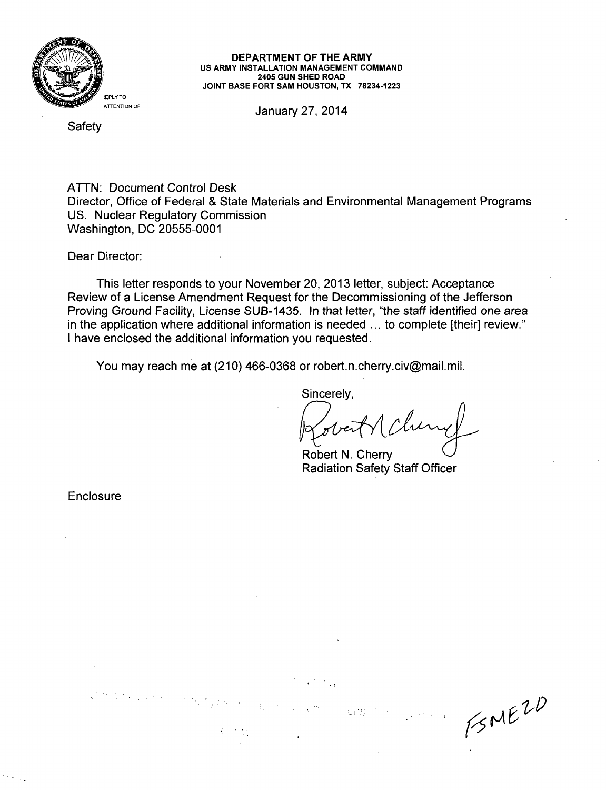

#### DEPARTMENT OF THE ARMY **US** ARMY **INSTALLATION MANAGEMENT COMMAND** 2405 **GUN SHED** ROAD **JOINT BASE** FORT **SAM HOUSTON,** TX **78234-1223**

January 27, 2014

Safety

ATTN: Document Control Desk Director, Office of Federal & State Materials and Environmental Management Programs US. Nuclear Regulatory Commission Washington, DC 20555-0001

Dear Director:

This letter responds to your November 20, 2013 letter, subject: Acceptance Review of a License Amendment Request for the Decommissioning of the Jefferson Proving Ground Facility, License SUB-1435. In that letter, "the staff identified one area in the application where additional information is needed ... to complete [their] review." I have enclosed the additional information you requested.

You may reach me at (210) 466-0368 or robert.n.cherry.civ@mail.mil.

Sincerely,

 $1/5$   $ME^{2D}$ 

Robert N. Cherry Radiation Safety Staff Officer

2. 6425

Enclosure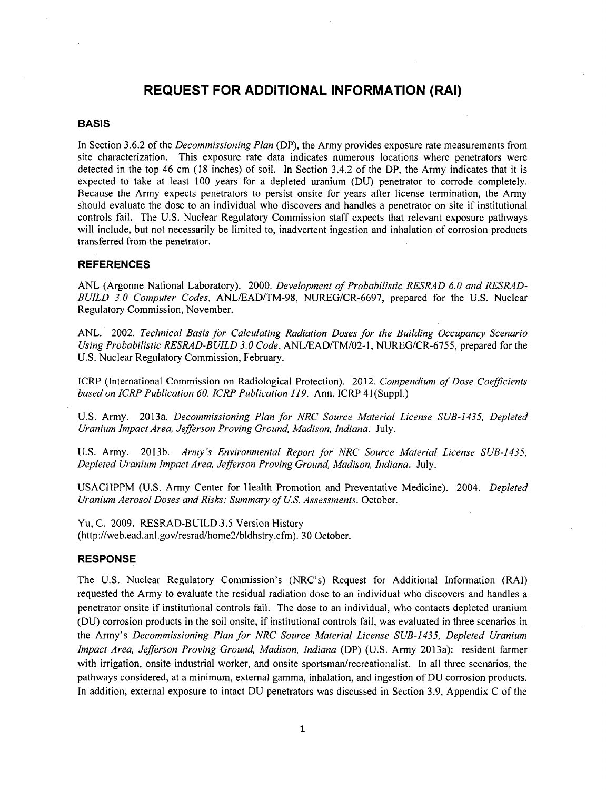# **REQUEST** FOR **ADDITIONAL** INFORMATION (RAI)

### **BASIS**

In Section 3.6.2 of the *Decommissioning Plan* (DP), the Army provides exposure rate measurements from site characterization. This exposure rate data indicates numerous locations where penetrators were detected in the top 46 cm (18 inches) of soil. In Section 3.4.2 of the DP, the Army indicates that it is expected to take at least 100 years for a depleted uranium (DU) penetrator to corrode completely. Because the Army expects penetrators to persist onsite for years after license termination, the Army should evaluate the dose to an individual who discovers and handles a penetrator on site if institutional controls fail. The U.S. Nuclear Regulatory Commission staff expects that relevant exposure pathways will include, but not necessarily be limited to, inadvertent ingestion and inhalation of corrosion products transferred from the penetrator.

## **REFERENCES**

ANL (Argonne National Laboratory). 2000. *Development of Probabilistic RESRAD 6.0 and RESRAD-BUILD 3.0 Computer Codes,* ANL/EAD/TM-98, NUREG/CR-6697, prepared for the U.S. Nuclear Regulatory Commission, November.

ANL. 2002. *Technical Basis Jbr Calculating Radiation Doses for the Building Occupancy Scenario Using Probabilistic RESRAD-BUILD 3.0 Code,* ANL/EAD/TM/02-1, NUREG/CR-6755, prepared for the U.S. Nuclear Regulatory Commission, February.

ICRP (International Commission on Radiological Protection). 2012. *Compendium of Dose Coefficients based on ICRP Publication 60. ICRP Publication 119.* Ann. ICRP 41(Suppl.)

U.S. Army. 2013a. *Decommissioning Plan for NRC Source Material License SUB-1435, Depleted Uranium Impact Area, Jefferson Proving Ground, Madison, Indiana.* July.

U.S. Army. 2013b. *Arvny's Environmental Report for NRC Source Material License SUB-1435, Depleted Uranium Impact Area, Jefferson Proving Ground, Madison, Indiana.* July.

USACHPPM (U.S. Army Center for Health Promotion and Preventative Medicine). 2004. *Depleted Uranium Aerosol Doses and Risks: Summary of US. Assessments.* October.

Yu, C. 2009. RESRAD-BUILD 3.5 Version History (http://web.ead.anl.gov/resrad/home2/bldhstry.cfm). 30 October.

### **RESPONSE**

The U.S. Nuclear Regulatory Commission's (NRC's) Request for Additional Information (RAI) requested the Army to evaluate the residual radiation dose to an individual who discovers and handles a penetrator onsite if institutional controls fail. The dose to an individual, who contacts depleted uranium (DU) corrosion products in the soil onsite, if institutional controls fail, was evaluated in three scenarios in the Army's *Decommissioning Plan for NRC Source Material License SUB-1435, Depleted Uranium Impact Area, Jefferson Proving Ground, Madison, Indiana* (DP) (U.S. Army 2013a): resident farmer with irrigation, onsite industrial worker, and onsite sportsman/recreationalist. In all three scenarios, the pathways considered, at a minimum, external gamma, inhalation, and ingestion of DU corrosion products. In addition, external exposure to intact DU penetrators was discussed in Section 3.9, Appendix C of the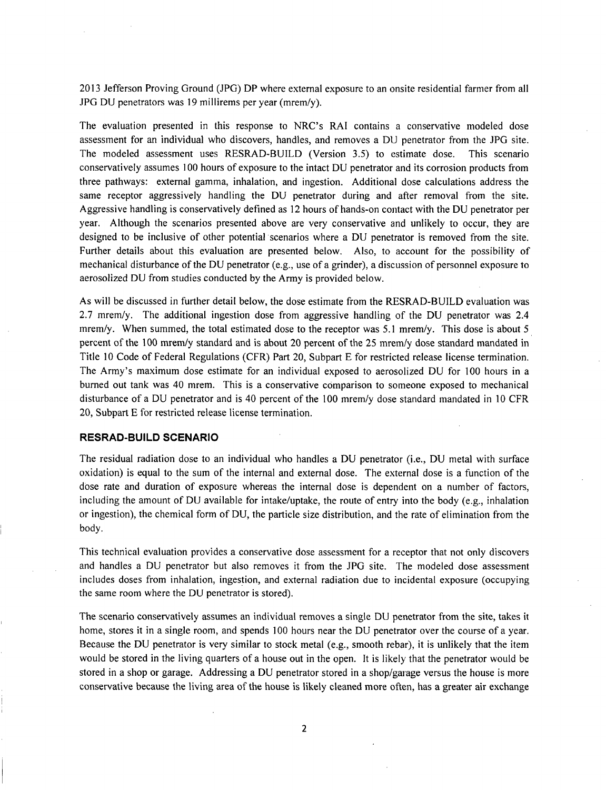2013 Jefferson Proving Ground (JPG) DP where external exposure to an onsite residential farmer from all JPG DU penetrators was 19 millirems per year (mrem/y).

The evaluation presented in this response to NRC's RAI contains a conservative modeled dose assessment for an individual who discovers, handles, and removes a DU penetrator from the JPG site. The modeled assessment uses RESRAD-BUILD (Version 3.5) to estimate dose. This scenario conservatively assumes 100 hours of exposure to the intact DU penetrator and its corrosion products from three pathways: external gamma, inhalation, and ingestion. Additional dose calculations address the same receptor aggressively handling the DU penetrator during and after removal from the site. Aggressive handling is conservatively defined as 12 hours of hands-on contact with the DU penetrator per year. Although the scenarios presented above are very conservative and unlikely to occur, they are designed to be inclusive of other potential scenarios where a DU penetrator is removed from the site. Further details about this evaluation are presented below. Also, to account for the possibility of mechanical disturbance of the DU penetrator (e.g., use of a grinder), a discussion of personnel exposure to aerosolized DU from studies conducted by the Army is provided below.

As will be discussed in further detail below, the dose estimate from the RESRAD-BUILD evaluation was 2.7 mrem/y. The additional ingestion dose from aggressive handling of the DU penetrator was 2.4 mrem/y. When summed, the total estimated dose to the receptor was 5.1 mrem/y. This dose is about 5 percent of the 100 mrem/y standard and is about 20 percent of the 25 mrem/y dose standard mandated in Title 10 Code of Federal Regulations (CFR) Part 20, Subpart E for restricted release license termination. The Army's maximum dose estimate for an individual exposed to aerosolized DU for 100 hours in a burned out tank was 40 mrem. This is a conservative comparison to someone exposed to mechanical disturbance of a DU penetrator and is 40 percent of the 100 mrem/y dose standard mandated in 10 CFR 20, Subpart E for restricted release license termination.

#### RESRAD-BUILD **SCENARIO**

The residual radiation dose to an individual who handles a DU penetrator (i.e., DU metal with surface oxidation) is equal to the sum of the internal and external dose. The external dose is a function of the dose rate and duration of exposure whereas the internal dose is dependent on a number of factors, including the amount of DU available for intake/uptake, the route of entry into the body (e.g., inhalation or ingestion), the chemical form of DU, the particle size distribution, and the rate of elimination from the body.

This technical evaluation provides a conservative dose assessment for a receptor that not only discovers and handles a DU penetrator but also removes it from the JPG site. The modeled dose assessment includes doses from inhalation, ingestion, and external radiation due to incidental exposure (occupying the same room where the DU penetrator is stored).

The scenario conservatively assumes an individual removes a single DU penetrator from the site, takes it home, stores it in a single room, and spends 100 hours near the DU penetrator over the course of a year. Because the DU penetrator is very similar to stock metal (e.g., smooth rebar), it is unlikely that the item would be stored in the living quarters of a house out in the open. It is likely that the penetrator would be stored in a shop or garage. Addressing a DU penetrator stored in a shop/garage versus the house is more conservative because the living area of the house is likely cleaned more often, has a greater air exchange

2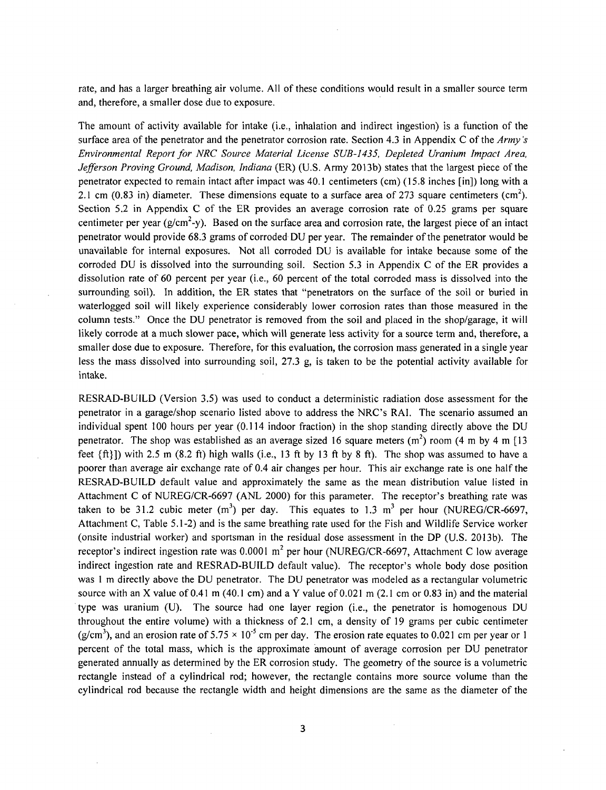rate, and has a larger breathing air volume. All of these conditions would result in a smaller source term and, therefore, a smaller dose due to exposure.

The amount of activity available for intake (i.e., inhalation and indirect ingestion) is a function of the surface area of the penetrator and the penetrator corrosion rate. Section 4.3 in Appendix C of the *Army's Environmental Report for NRC Source Material License SUB-1435, Depleted Uranium Impact Area, Jefferson Proving Ground, Madison, Indiana* (ER) (U.S. Army 2013b) states that the largest piece of the penetrator expected to remain intact after impact was 40.1 centimeters (cm) (15.8 inches [in]) long with a 2.1 cm (0.83 in) diameter. These dimensions equate to a surface area of 273 square centimeters (cm<sup>2</sup>). Section 5.2 in Appendix C of the ER provides an average corrosion rate of 0.25 grams per square centimeter per year ( $g/cm<sup>2</sup>$ -y). Based on the surface area and corrosion rate, the largest piece of an intact penetrator would provide 68.3 grams of corroded DU per year. The remainder of the penetrator would be unavailable for internal exposures. Not all corroded DU is available for intake because some of the corroded DU is dissolved into the surrounding soil. Section 5.3 in Appendix C of the ER provides a dissolution rate of 60 percent per year (i.e., 60 percent of the total corroded mass is dissolved into the surrounding soil). In addition, the ER states that "penetrators on the surface of the soil or buried in waterlogged soil will likely experience considerably lower corrosion rates than those measured in the column tests." Once the DU penetrator is removed from the soil and placed in the shop/garage, it will likely corrode at a much slower pace, which will generate less activity for a source term and, therefore, a smaller dose due to exposure. Therefore, for this evaluation, the corrosion mass generated in a single year less the mass dissolved into surrounding soil, 27.3 g, is taken to be the potential activity available for intake.

RESRAD-BUILD (Version 3.5) was used to conduct a deterministic radiation dose assessment for the penetrator in a garage/shop scenario listed above to address the NRC's RAI. The scenario assumed an individual spent 100 hours per year (0.114 indoor fraction) in the shop standing directly above the DU penetrator. The shop was established as an average sized 16 square meters  $(m^2)$  room (4 m by 4 m [1] feet  $\{ft\}$ ) with 2.5 m  $(8.2 \text{ ft})$  high walls (i.e., 13 ft by 13 ft by 8 ft). The shop was assumed to have a poorer than average air exchange rate of 0.4 air changes per hour. This air exchange rate is one half the RESRAD-BUILD default value and approximately the same as the mean distribution value listed in Attachment C of NUREG/CR-6697 (ANL 2000) for this parameter. The receptor's breathing rate was taken to be 31.2 cubic meter  $(m^3)$  per day. This equates to 1.3 m<sup>3</sup> per hour (NUREG/CR-6697) Attachment C, Table 5.1-2) and is the same breathing rate used for the Fish and Wildlife Service worker (onsite industrial worker) and sportsman in the residual dose assessment in the DP (U.S. 2013b). The receptor's indirect ingestion rate was 0.0001 **m2** per hour (NUREG/CR-6697, Attachment C low average indirect ingestion rate and RESRAD-BUILD default value). The receptor's whole body dose position was **I** m directly above the DU penetrator. The DU penetrator was modeled as a rectangular volumetric source with an X value of 0.41 m (40.1 cm) and a Y value of 0.021 m (2.1 cm or 0.83 in) and the material type was uranium (U). The source had one layer region (i.e., the penetrator is homogenous DU throughout the entire volume) with a thickness of 2.1 cm, a density of 19 grams per cubic centimeter ( $g/cm<sup>3</sup>$ ), and an erosion rate of 5.75  $\times$  10<sup>-5</sup> cm per day. The erosion rate equates to 0.021 cm per year or 1 percent of the total mass, which is the approximate amount of average corrosion per DU penetrator generated annually as determined by the ER corrosion study. The geometry of the source is a volumetric rectangle instead of a cylindrical rod; however, the rectangle contains more source volume than the cylindrical rod because the rectangle width and height dimensions are the same as the diameter of the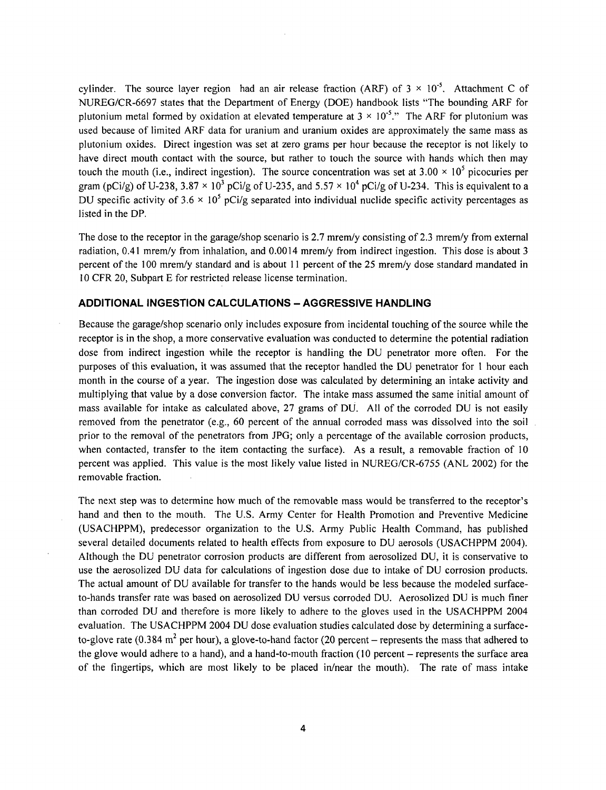cylinder. The source layer region had an air release fraction (ARF) of  $3 \times 10^{-5}$ . Attachment C of NUREG/CR-6697 states that the Department of Energy (DOE) handbook lists "The bounding ARF for plutonium metal formed by oxidation at elevated temperature at  $3 \times 10^{-5}$ ." The ARF for plutonium was used because of limited ARF data for uranium and uranium oxides are approximately the same mass as plutonium oxides. Direct ingestion was set at zero grams per hour because the receptor is not likely to have direct mouth contact with the source, but rather to touch the source with hands which then may touch the mouth (i.e., indirect ingestion). The source concentration was set at  $3.00 \times 10^5$  picocuries per gram (pCi/g) of U-238,  $3.87 \times 10^3$  pCi/g of U-235, and  $5.57 \times 10^4$  pCi/g of U-234. This is equivalent to a DU specific activity of  $3.6 \times 10^5$  pCi/g separated into individual nuclide specific activity percentages as listed in the DP.

The dose to the receptor in the garage/shop scenario is 2.7 mrem/y consisting of 2.3 mrem/y from external radiation, 0.41 mrem/y from inhalation, and 0.0014 mrem/y from indirect ingestion. This dose is about 3 percent of the 100 mrem/y standard and is about 11 percent of the 25 mrem/y dose standard mandated in 10 CFR 20, Subpart E for restricted release license termination.

#### **ADDITIONAL INGESTION CALCULATIONS** - **AGGRESSIVE HANDLING**

Because the garage/shop scenario only includes exposure from incidental touching of the source while the receptor is in the shop, a more conservative evaluation was conducted to determine the potential radiation dose from indirect ingestion while the receptor is handling the DU penetrator more often. For the purposes of this evaluation, it was assumed that the receptor handled the DU penetrator for **I** hour each month in the course of a year. The ingestion dose was calculated by determining an intake activity and multiplying that value by a dose conversion factor. The intake mass assumed the same initial amount of mass available for intake as calculated above, 27 grams of DU. All of the corroded DU is not easily removed from the penetrator (e.g., 60 percent of the annual corroded mass was dissolved into the soil prior to the removal of the penetrators from JPG; only a percentage of the available corrosion products, when contacted, transfer to the item contacting the surface). As a result, a removable fraction of 10 percent was applied. This value is the most likely value listed in NUREG/CR-6755 (ANL 2002) for the removable fraction.

The next step was to determine how much of the removable mass would be transferred to the receptor's hand and then to the mouth. The U.S. Army Center for Health Promotion and Preventive Medicine (USACHPPM), predecessor organization to the U.S. Army Public Health Command, has published several detailed documents related to health effects from exposure to DU aerosols (USACHPPM 2004). Although the DU penetrator corrosion products are different from aerosolized DU, it is conservative to use the aerosolized DU data for calculations of ingestion dose due to intake of DU corrosion products. The actual amount of DU available for transfer to the hands would be less because the modeled surfaceto-hands transfer rate was based on aerosolized DU versus corroded DU. Aerosolized DU is much finer than corroded DU and therefore is more likely to adhere to the gloves used in the USACHPPM 2004 evaluation. The USACHPPM 2004 DU dose evaluation studies calculated dose by determining a surfaceto-glove rate (0.384  $m^2$  per hour), a glove-to-hand factor (20 percent – represents the mass that adhered to the glove would adhere to a hand), and a hand-to-mouth fraction (10 percent - represents the surface area of the fingertips, which are most likely to be placed in/near the mouth). The rate of mass intake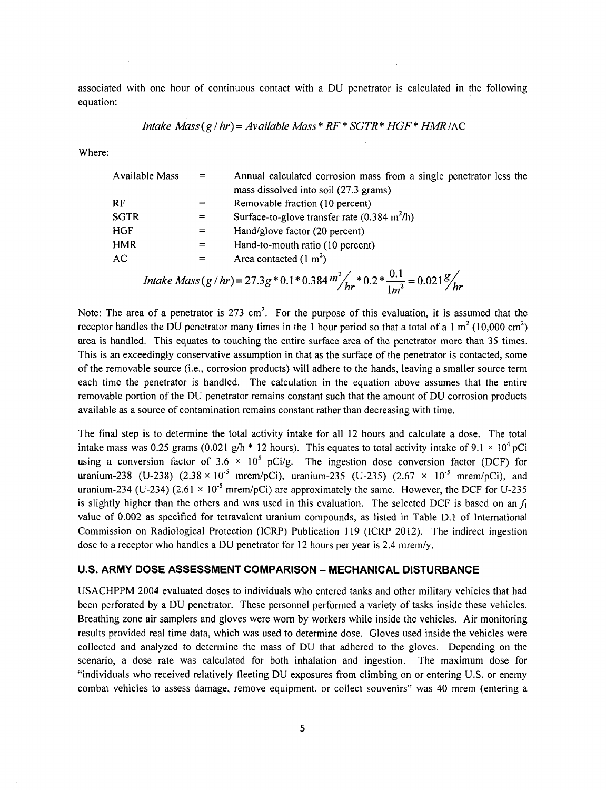associated with one hour of continuous contact with a DU penetrator is calculated in the following equation:

*Intake Mass* 
$$
(g/hr) = Available Mass * RF * SGTR * HGF * HMR/AC
$$

Where:

| Available Mass | $=$ | Annual calculated corrosion mass from a single penetrator less the                                                |
|----------------|-----|-------------------------------------------------------------------------------------------------------------------|
|                |     | mass dissolved into soil (27.3 grams)                                                                             |
| RF             |     | Removable fraction (10 percent)                                                                                   |
| <b>SGTR</b>    | $=$ | Surface-to-glove transfer rate $(0.384 \text{ m}^2/\text{h})$                                                     |
| <b>HGF</b>     | $=$ | Hand/glove factor (20 percent)                                                                                    |
| <b>HMR</b>     | $=$ | Hand-to-mouth ratio (10 percent)                                                                                  |
| AC             |     | Area contacted $(1 m2)$                                                                                           |
|                |     |                                                                                                                   |
|                |     | Intake Mass(g/hr)=27.3g*0.1*0.384 $m^2/$ <sub>hr</sub> *0.2* $\frac{0.1}{1m^2}$ =0.021 $\frac{g}{m}$ <sup>1</sup> |

Note: The area of a penetrator is 273 cm<sup>2</sup>. For the purpose of this evaluation, it is assumed that the receptor handles the DU penetrator many times in the 1 hour period so that a total of a 1 m<sup>2</sup> (10,000 cm<sup>2</sup>) area is handled. This equates to touching the entire surface area of the penetrator more than 35 times. This is an exceedingly conservative assumption in that as the surface of the penetrator is contacted, some of the removable source (i.e., corrosion products) will adhere to the hands, leaving a smaller source term each time the penetrator is handled. The calculation in the equation above assumes that the entire removable portion of the DU penetrator remains constant such that the amount of DU corrosion products available as a source of contamination remains constant rather than decreasing with time.

The final step is to determine the total activity intake for all 12 hours and calculate a dose. The total intake mass was 0.25 grams (0.021 g/h  $*$  12 hours). This equates to total activity intake of 9.1  $\times$  10<sup>4</sup> pCi using a conversion factor of 3.6 × 10<sup>5</sup> pCi/g. The ingestion dose conversion factor (DCF) for uranium-238 (U-238)  $(2.38 \times 10^{-5} \text{mrem/pCi})$ , uranium-235 (U-235)  $(2.67 \times 10^{-5} \text{mrem/pCi})$ , and uranium-234 (U-234) (2.61  $\times$  10<sup>-5</sup> mrem/pCi) are approximately the same. However, the DCF for U-235 is slightly higher than the others and was used in this evaluation. The selected DCF is based on an  $f_1$ value of 0.002 as specified for tetravalent uranium compounds, as listed in Table D.1 of International Commission on Radiological Protection (ICRP) Publication 119 (ICRP 2012). The indirect ingestion dose to a receptor who handles a DU penetrator for 12 hours per year is 2.4 mrem/y.

### **U.S.** ARMY **DOSE ASSESSMENT** COMPARISON - **MECHANICAL DISTURBANCE**

USACHPPM 2004 evaluated doses to individuals who entered tanks and other military vehicles that had been perforated by a DU penetrator. These personnel performed a variety of tasks inside these vehicles. Breathing zone air samplers and gloves were worn by workers while inside the vehicles. Air monitoring results provided real time data, which was used to determine dose. Gloves used inside the vehicles were collected and analyzed to determine the mass of DU that adhered to the gloves. Depending on the scenario, a dose rate was calculated for both inhalation and ingestion. The maximum dose for "individuals who received relatively fleeting DU exposures from climbing on or entering U.S. or enemy combat vehicles to assess damage, remove equipment, or collect souvenirs" was 40 mrem (entering a